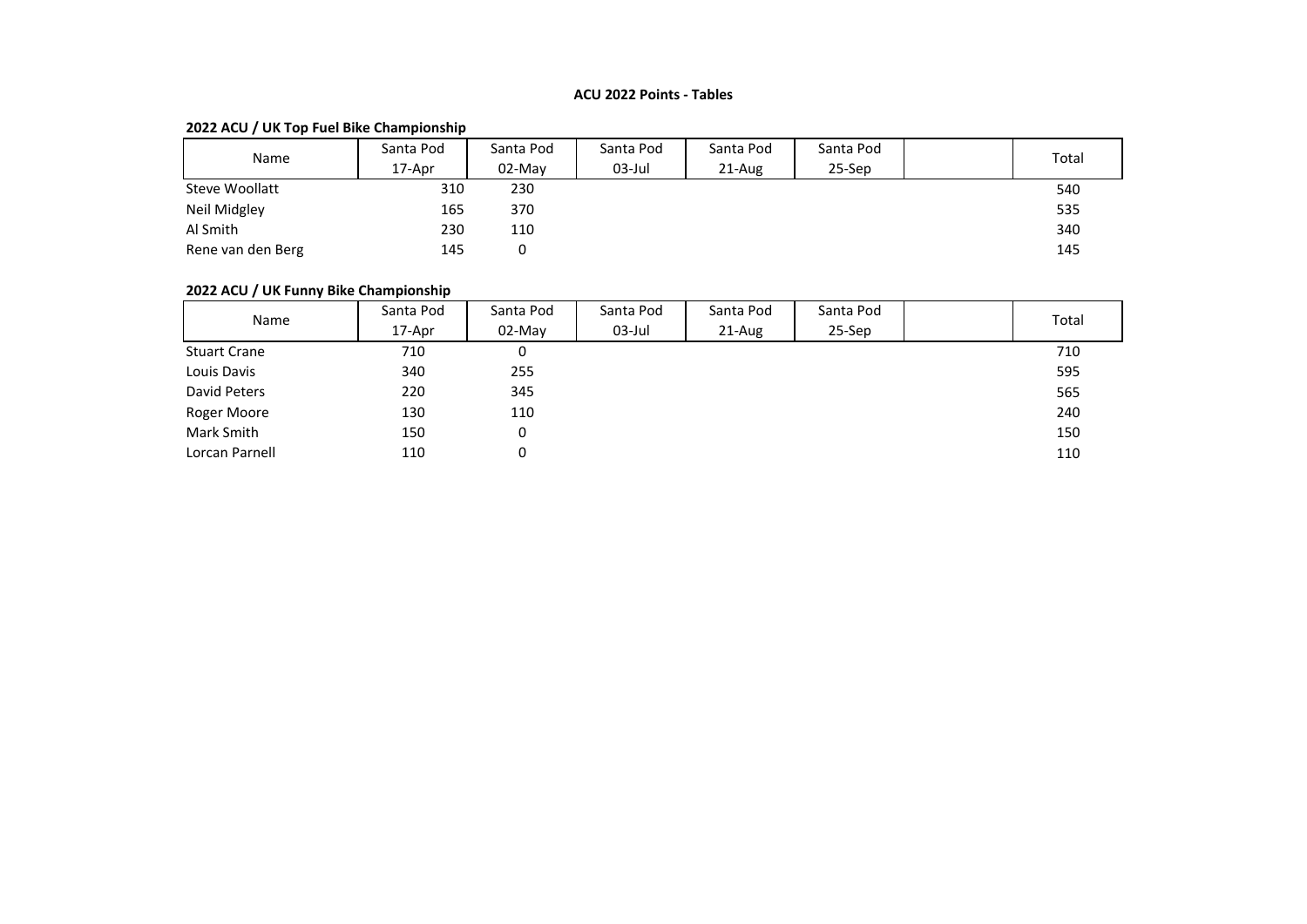### **ACU 2022 Points - Tables**

# **2022 ACU / UK Top Fuel Bike Championship**

| Name              | Santa Pod | Santa Pod | Santa Pod | Santa Pod | Santa Pod |  | Total |
|-------------------|-----------|-----------|-----------|-----------|-----------|--|-------|
|                   | 17-Apr    | 02-May    | 03-Jul    | $21-Au$ g | 25-Sep    |  |       |
| Steve Woollatt    | 310       | 230       |           |           |           |  | 540   |
| Neil Midgley      | 165       | 370       |           |           |           |  | 535   |
| Al Smith          | 230       | 110       |           |           |           |  | 340   |
| Rene van den Berg | 145       |           |           |           |           |  | 145   |

# **2022 ACU / UK Funny Bike Championship**

| Name                | Santa Pod | Santa Pod | Santa Pod | Santa Pod | Santa Pod |  | Total |
|---------------------|-----------|-----------|-----------|-----------|-----------|--|-------|
|                     | 17-Apr    | 02-May    | $03$ -Jul | 21-Aug    | 25-Sep    |  |       |
| <b>Stuart Crane</b> | 710       | 0         |           |           |           |  | 710   |
| Louis Davis         | 340       | 255       |           |           |           |  | 595   |
| David Peters        | 220       | 345       |           |           |           |  | 565   |
| Roger Moore         | 130       | 110       |           |           |           |  | 240   |
| Mark Smith          | 150       | 0         |           |           |           |  | 150   |
| Lorcan Parnell      | 110       | 0         |           |           |           |  | 110   |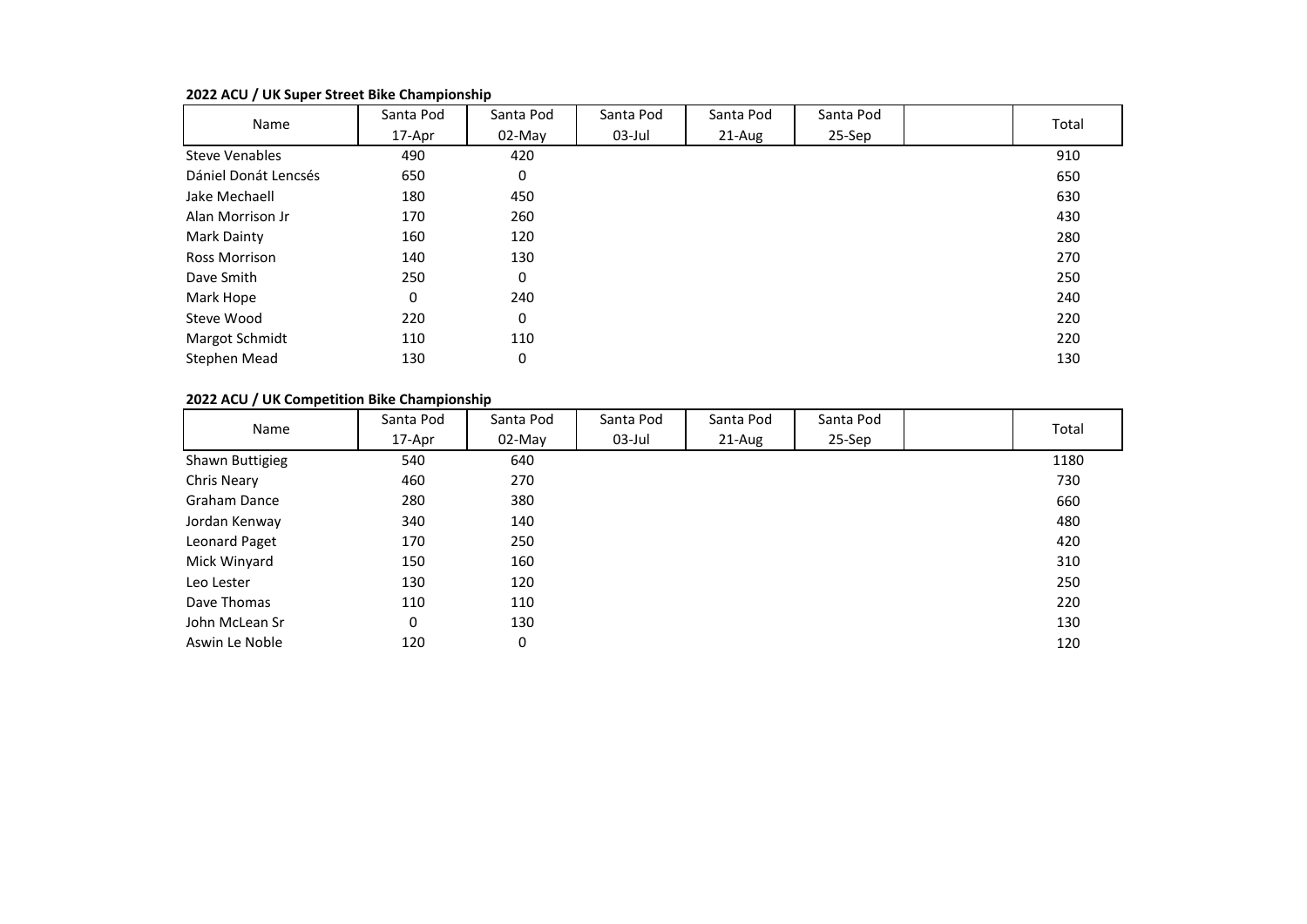| Name                  | Santa Pod | Santa Pod | Santa Pod | Santa Pod | Santa Pod | Total |
|-----------------------|-----------|-----------|-----------|-----------|-----------|-------|
|                       | 17-Apr    | 02-May    | 03-Jul    | 21-Aug    | 25-Sep    |       |
| <b>Steve Venables</b> | 490       | 420       |           |           |           | 910   |
| Dániel Donát Lencsés  | 650       | 0         |           |           |           | 650   |
| Jake Mechaell         | 180       | 450       |           |           |           | 630   |
| Alan Morrison Jr      | 170       | 260       |           |           |           | 430   |
| Mark Dainty           | 160       | 120       |           |           |           | 280   |
| <b>Ross Morrison</b>  | 140       | 130       |           |           |           | 270   |
| Dave Smith            | 250       | 0         |           |           |           | 250   |
| Mark Hope             | 0         | 240       |           |           |           | 240   |
| Steve Wood            | 220       | 0         |           |           |           | 220   |
| Margot Schmidt        | 110       | 110       |           |           |           | 220   |
| Stephen Mead          | 130       | 0         |           |           |           | 130   |

#### **2022 ACU / UK Super Street Bike Championship**

### **2022 ACU / UK Competition Bike Championship**

| Name            | Santa Pod | Santa Pod | Santa Pod | Santa Pod | Santa Pod | Total |
|-----------------|-----------|-----------|-----------|-----------|-----------|-------|
|                 | 17-Apr    | $02$ -May | $03$ -Jul | 21-Aug    | 25-Sep    |       |
| Shawn Buttigieg | 540       | 640       |           |           |           | 1180  |
| Chris Neary     | 460       | 270       |           |           |           | 730   |
| Graham Dance    | 280       | 380       |           |           |           | 660   |
| Jordan Kenway   | 340       | 140       |           |           |           | 480   |
| Leonard Paget   | 170       | 250       |           |           |           | 420   |
| Mick Winyard    | 150       | 160       |           |           |           | 310   |
| Leo Lester      | 130       | 120       |           |           |           | 250   |
| Dave Thomas     | 110       | 110       |           |           |           | 220   |
| John McLean Sr  | 0         | 130       |           |           |           | 130   |
| Aswin Le Noble  | 120       | 0         |           |           |           | 120   |